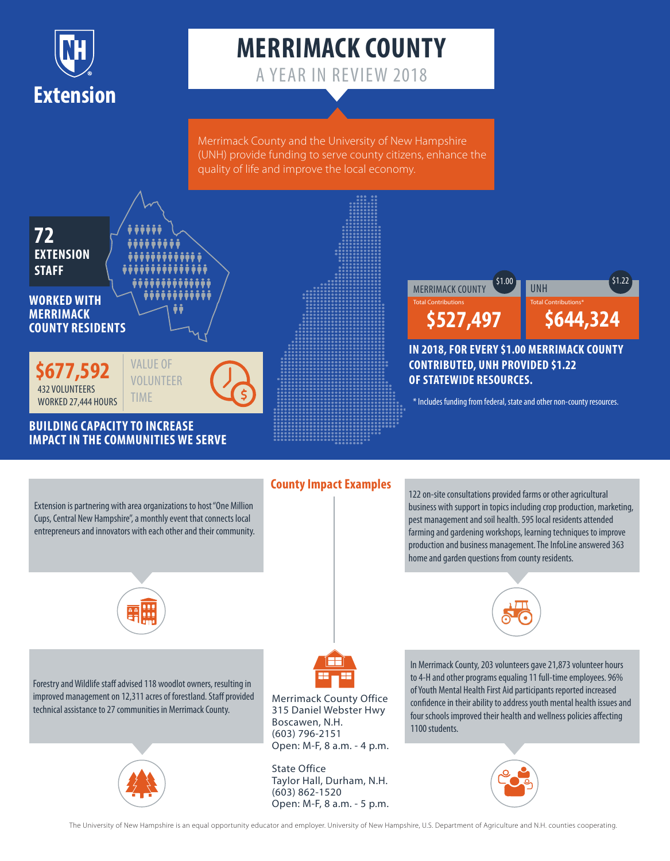

# **MERRIMACK COUNTY**

A YEAR IN REVIEW 2018

Merrimack County and the University of New Hampshire (UNH) provide funding to serve county citizens, enhance the quality of life and improve the local economy.



**IMPACT IN THE COMMUNITIES WE SERVE**



#### **IN 2018, FOR EVERY \$1.00 MERRIMACK COUNTY CONTRIBUTED, UNH PROVIDED \$1.22 OF STATEWIDE RESOURCES.**

### **County Impact Examples**

Extension is partnering with area organizations to host "One Million Cups, Central New Hampshire", a monthly event that connects local entrepreneurs and innovators with each other and their community. 122 on-site consultations provided farms or other agricultural business with support in topics including crop production, marketing, pest management and soil health. 595 local residents attended farming and gardening workshops, learning techniques to improve production and business management. The InfoLine answered 363 home and garden questions from county residents.



Forestry and Wildlife staff advised 118 woodlot owners, resulting in improved management on 12,311 acres of forestland. Staff provided technical assistance to 27 communities in Merrimack County.





Merrimack County Office 315 Daniel Webster Hwy Boscawen, N.H. (603) 796-2151 Open: M-F, 8 a.m. - 4 p.m.

State Office Taylor Hall, Durham, N.H. (603) 862-1520 Open: M-F, 8 a.m. - 5 p.m. In Merrimack County, 203 volunteers gave 21,873 volunteer hours to 4-H and other programs equaling 11 full-time employees. 96% of Youth Mental Health First Aid participants reported increased confidence in their ability to address youth mental health issues and four schools improved their health and wellness policies affecting 1100 students.



The University of New Hampshire is an equal opportunity educator and employer. University of New Hampshire, U.S. Department of Agriculture and N.H. counties cooperating.